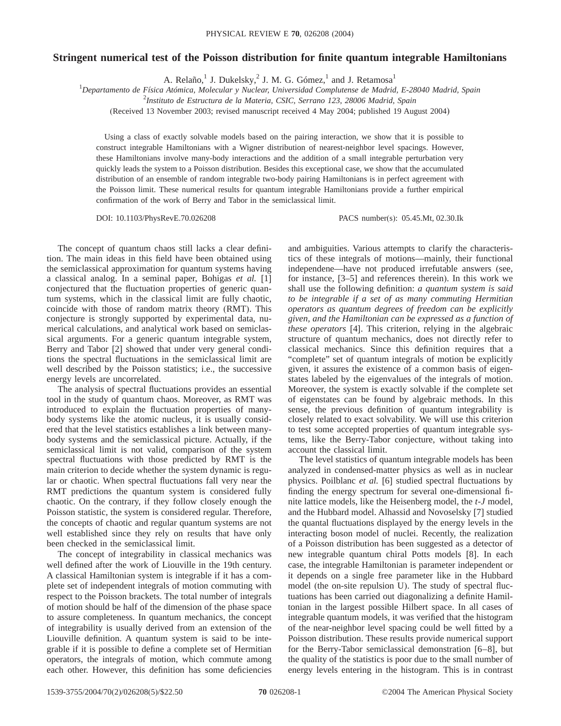## **Stringent numerical test of the Poisson distribution for finite quantum integrable Hamiltonians**

A. Relaño, $1$  J. Dukelsky, $2$  J. M. G. Gómez, $1$  and J. Retamosa<sup>1</sup>

1 *Departamento de Física Atómica, Molecular y Nuclear, Universidad Complutense de Madrid, E-28040 Madrid, Spain*

2 *Instituto de Estructura de la Materia, CSIC, Serrano 123, 28006 Madrid, Spain*

(Received 13 November 2003; revised manuscript received 4 May 2004; published 19 August 2004)

Using a class of exactly solvable models based on the pairing interaction, we show that it is possible to construct integrable Hamiltonians with a Wigner distribution of nearest-neighbor level spacings. However, these Hamiltonians involve many-body interactions and the addition of a small integrable perturbation very quickly leads the system to a Poisson distribution. Besides this exceptional case, we show that the accumulated distribution of an ensemble of random integrable two-body pairing Hamiltonians is in perfect agreement with the Poisson limit. These numerical results for quantum integrable Hamiltonians provide a further empirical confirmation of the work of Berry and Tabor in the semiclassical limit.

DOI: 10.1103/PhysRevE.70.026208 PACS number(s): 05.45.Mt, 02.30.Ik

The concept of quantum chaos still lacks a clear definition. The main ideas in this field have been obtained using the semiclassical approximation for quantum systems having a classical analog. In a seminal paper, Bohigas *et al.* [1] conjectured that the fluctuation properties of generic quantum systems, which in the classical limit are fully chaotic, coincide with those of random matrix theory (RMT). This conjecture is strongly supported by experimental data, numerical calculations, and analytical work based on semiclassical arguments. For a generic quantum integrable system, Berry and Tabor [2] showed that under very general conditions the spectral fluctuations in the semiclassical limit are well described by the Poisson statistics; i.e., the successive energy levels are uncorrelated.

The analysis of spectral fluctuations provides an essential tool in the study of quantum chaos. Moreover, as RMT was introduced to explain the fluctuation properties of manybody systems like the atomic nucleus, it is usually considered that the level statistics establishes a link between manybody systems and the semiclassical picture. Actually, if the semiclassical limit is not valid, comparison of the system spectral fluctuations with those predicted by RMT is the main criterion to decide whether the system dynamic is regular or chaotic. When spectral fluctuations fall very near the RMT predictions the quantum system is considered fully chaotic. On the contrary, if they follow closely enough the Poisson statistic, the system is considered regular. Therefore, the concepts of chaotic and regular quantum systems are not well established since they rely on results that have only been checked in the semiclassical limit.

The concept of integrability in classical mechanics was well defined after the work of Liouville in the 19th century. A classical Hamiltonian system is integrable if it has a complete set of independent integrals of motion commuting with respect to the Poisson brackets. The total number of integrals of motion should be half of the dimension of the phase space to assure completeness. In quantum mechanics, the concept of integrability is usually derived from an extension of the Liouville definition. A quantum system is said to be integrable if it is possible to define a complete set of Hermitian operators, the integrals of motion, which commute among each other. However, this definition has some deficiencies and ambiguities. Various attempts to clarify the characteristics of these integrals of motions—mainly, their functional independene—have not produced irrefutable answers (see, for instance, [3–5] and references therein). In this work we shall use the following definition: *a quantum system is said to be integrable if a set of as many commuting Hermitian operators as quantum degrees of freedom can be explicitly given, and the Hamiltonian can be expressed as a function of these operators* [4]. This criterion, relying in the algebraic structure of quantum mechanics, does not directly refer to classical mechanics. Since this definition requires that a "complete" set of quantum integrals of motion be explicitly given, it assures the existence of a common basis of eigenstates labeled by the eigenvalues of the integrals of motion. Moreover, the system is exactly solvable if the complete set of eigenstates can be found by algebraic methods. In this sense, the previous definition of quantum integrability is closely related to exact solvability. We will use this criterion to test some accepted properties of quantum integrable systems, like the Berry-Tabor conjecture, without taking into account the classical limit.

The level statistics of quantum integrable models has been analyzed in condensed-matter physics as well as in nuclear physics. Poilblanc *et al.* [6] studied spectral fluctuations by finding the energy spectrum for several one-dimensional finite lattice models, like the Heisenberg model, the *t*-*J* model, and the Hubbard model. Alhassid and Novoselsky [7] studied the quantal fluctuations displayed by the energy levels in the interacting boson model of nuclei. Recently, the realization of a Poisson distribution has been suggested as a detector of new integrable quantum chiral Potts models [8]. In each case, the integrable Hamiltonian is parameter independent or it depends on a single free parameter like in the Hubbard model (the on-site repulsion U). The study of spectral fluctuations has been carried out diagonalizing a definite Hamiltonian in the largest possible Hilbert space. In all cases of integrable quantum models, it was verified that the histogram of the near-neighbor level spacing could be well fitted by a Poisson distribution. These results provide numerical support for the Berry-Tabor semiclassical demonstration [6–8], but the quality of the statistics is poor due to the small number of energy levels entering in the histogram. This is in contrast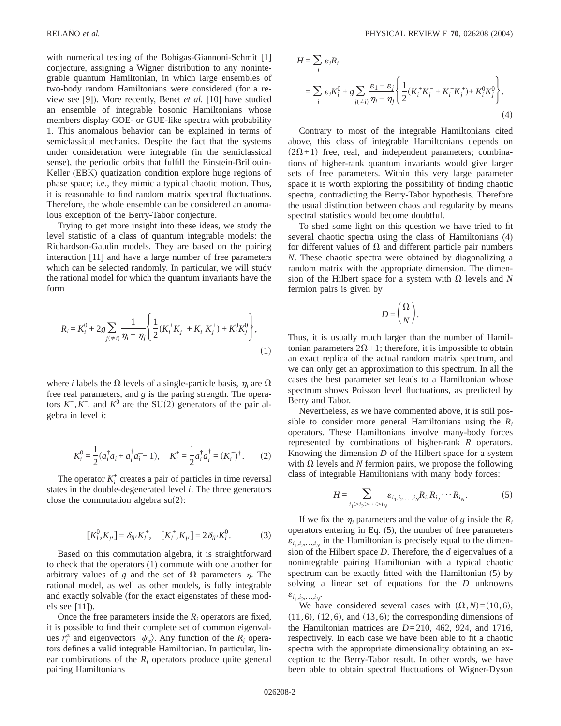with numerical testing of the Bohigas-Giannoni-Schmit [1] conjecture, assigning a Wigner distribution to any nonintegrable quantum Hamiltonian, in which large ensembles of two-body random Hamiltonians were considered (for a review see [9]). More recently, Benet *et al.* [10] have studied an ensemble of integrable bosonic Hamiltonians whose members display GOE- or GUE-like spectra with probability 1. This anomalous behavior can be explained in terms of semiclassical mechanics. Despite the fact that the systems under consideration were integrable (in the semiclassical sense), the periodic orbits that fulfill the Einstein-Brillouin-Keller (EBK) quatization condition explore huge regions of phase space; i.e., they mimic a typical chaotic motion. Thus, it is reasonable to find random matrix spectral fluctuations. Therefore, the whole ensemble can be considered an anomalous exception of the Berry-Tabor conjecture.

Trying to get more insight into these ideas, we study the level statistic of a class of quantum integrable models: the Richardson-Gaudin models. They are based on the pairing interaction [11] and have a large number of free parameters which can be selected randomly. In particular, we will study the rational model for which the quantum invariants have the form

$$
R_i = K_i^0 + 2g \sum_{j(\neq i)} \frac{1}{\eta_i - \eta_j} \left\{ \frac{1}{2} (K_i^+ K_j^- + K_i^- K_j^+) + K_i^0 K_j^0 \right\},\tag{1}
$$

where *i* labels the  $\Omega$  levels of a single-particle basis,  $\eta_i$  are  $\Omega$ free real parameters, and *g* is the paring strength. The operators  $K^+, K^-$ , and  $K^0$  are the SU(2) generators of the pair algebra in level *i*:

$$
K_i^0 = \frac{1}{2} (a_i^{\dagger} a_i + a_i^{\dagger} a_i - 1), \quad K_i^+ = \frac{1}{2} a_i^{\dagger} a_i^{\dagger} = (K_i^-)^{\dagger}.
$$
 (2)

The operator  $K_i^+$  creates a pair of particles in time reversal states in the double-degenerated level *i*. The three generators close the commutation algebra  $su(2)$ :

$$
[K_l^0, K_{l'}^+] = \delta_{ll'} K_l^+, \quad [K_l^+, K_{l'}^-] = 2 \delta_{ll'} K_l^0. \tag{3}
$$

Based on this commutation algebra, it is straightforward to check that the operators (1) commute with one another for arbitrary values of *g* and the set of  $\Omega$  parameters  $\eta$ . The rational model, as well as other models, is fully integrable and exactly solvable (for the exact eigenstates of these models see [11]).

Once the free parameters inside the *Ri* operators are fixed, it is possible to find their complete set of common eigenvalues  $r_i^{\alpha}$  and eigenvectors  $|\psi_{\alpha}\rangle$ . Any function of the  $R_i$  operators defines a valid integrable Hamiltonian. In particular, linear combinations of the  $R_i$  operators produce quite general pairing Hamiltonians

$$
H = \sum_{i} \varepsilon_{i} R_{i}
$$
  
= 
$$
\sum_{i} \varepsilon_{i} K_{i}^{0} + g \sum_{j(\neq i)} \frac{\varepsilon_{1} - \varepsilon_{j}}{\eta_{i} - \eta_{j}} \left\{ \frac{1}{2} (K_{i}^{+} K_{j}^{-} + K_{i}^{-} K_{j}^{+}) + K_{i}^{0} K_{j}^{0} \right\}.
$$
  
(4)

Contrary to most of the integrable Hamiltonians cited above, this class of integrable Hamiltonians depends on  $(2\Omega+1)$  free, real, and independent parameters; combinations of higher-rank quantum invariants would give larger sets of free parameters. Within this very large parameter space it is worth exploring the possibility of finding chaotic spectra, contradicting the Berry-Tabor hypothesis. Therefore the usual distinction between chaos and regularity by means spectral statistics would become doubtful.

To shed some light on this question we have tried to fit several chaotic spectra using the class of Hamiltonians (4) for different values of  $\Omega$  and different particle pair numbers *N*. These chaotic spectra were obtained by diagonalizing a random matrix with the appropriate dimension. The dimension of the Hilbert space for a system with  $\Omega$  levels and *N* fermion pairs is given by

$$
D=\binom{\Omega}{N}.
$$

Thus, it is usually much larger than the number of Hamiltonian parameters  $2\Omega + 1$ ; therefore, it is impossible to obtain an exact replica of the actual random matrix spectrum, and we can only get an approximation to this spectrum. In all the cases the best parameter set leads to a Hamiltonian whose spectrum shows Poisson level fluctuations, as predicted by Berry and Tabor.

Nevertheless, as we have commented above, it is still possible to consider more general Hamiltonians using the *Ri* operators. These Hamiltonians involve many-body forces represented by combinations of higher-rank *R* operators. Knowing the dimension *D* of the Hilbert space for a system with  $\Omega$  levels and *N* fermion pairs, we propose the following class of integrable Hamiltonians with many body forces:

$$
H = \sum_{i_1 > i_2 > \dots > i_N} \varepsilon_{i_1, i_2, \dots, i_N} R_{i_1} R_{i_2} \cdots R_{i_N}.
$$
 (5)

If we fix the  $\eta_i$  parameters and the value of *g* inside the  $R_i$ operators entering in Eq. (5), the number of free parameters  $\varepsilon_{i_1, i_2, \dots, i_N}$  in the Hamiltonian is precisely equal to the dimension of the Hilbert space *D*. Therefore, the *d* eigenvalues of a nonintegrable pairing Hamiltonian with a typical chaotic spectrum can be exactly fitted with the Hamiltonian (5) by solving a linear set of equations for the *D* unknowns  $\varepsilon_{i_1, i_2, \ldots, i_N}$ .

We have considered several cases with  $(\Omega, N) = (10, 6)$ ,  $(11,6)$ ,  $(12,6)$ , and  $(13,6)$ ; the corresponding dimensions of the Hamiltonian matrices are  $D=210$ , 462, 924, and 1716, respectively. In each case we have been able to fit a chaotic spectra with the appropriate dimensionality obtaining an exception to the Berry-Tabor result. In other words, we have been able to obtain spectral fluctuations of Wigner-Dyson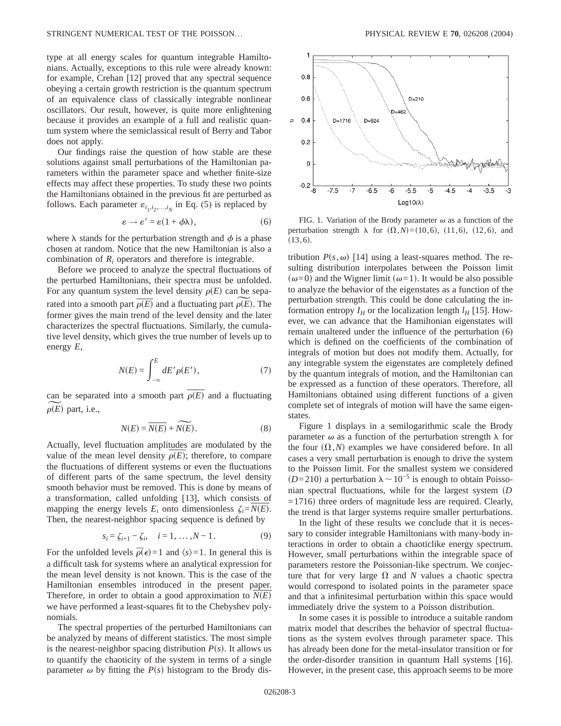type at all energy scales for quantum integrable Hamiltonians. Actually, exceptions to this rule were already known: for example, Crehan [12] proved that any spectral sequence obeying a certain growth restriction is the quantum spectrum of an equivalence class of classically integrable nonlinear oscillators. Our result, however, is quite more enlightening because it provides an example of a full and realistic quantum system where the semiclassical result of Berry and Tabor does not apply.

Our findings raise the question of how stable are these solutions against small perturbations of the Hamiltonian parameters within the parameter space and whether finite-size effects may affect these properties. To study these two points the Hamiltonians obtained in the previous fit are perturbed as follows. Each parameter  $\varepsilon_{i_1,i_2,...,i_N}$  in Eq. (5) is replaced by

$$
\varepsilon \to \varepsilon' = \varepsilon (1 + \phi \lambda), \tag{6}
$$

where  $\lambda$  stands for the perturbation strength and  $\phi$  is a phase chosen at random. Notice that the new Hamiltonian is also a combination of *Ri* operators and therefore is integrable.

Before we proceed to analyze the spectral fluctuations of gthe perturbed Hamiltonians, their spectra must be unfolded. For any quantum system the level density  $\rho(E)$  can be separated into a smooth part  $\rho(E)$  and a fluctuating part  $\rho(E)$ . The former gives the main trend of the level density and the later characterizes the spectral fluctuations. Similarly, the cumulative level density, which gives the true number of levels up to energy *E*,

$$
N(E) = \int_{-\infty}^{E} dE' \rho(E'), \qquad (7)
$$

can be separated into a smooth part  $\rho(E)$  and a fluctuating  $\rho(E)$  part, i.e.,

$$
N(E) = \overline{N(E)} + \overline{N(E)}.
$$
 (8)

Actually, level fluctuation amplitudes are modulated by the value of the mean level density  $\rho(E)$ ; therefore, to compare the fluctuations of different systems or even the fluctuations of different parts of the same spectrum, the level density smooth behavior must be removed. This is done by means of a transformation, called unfolding [13], which consists of mapping the energy levels  $E_i$  onto dimensionless  $\zeta_i = N(E)$ . Then, the nearest-neighbor spacing sequence is defined by

$$
s_i = \zeta_{i+1} - \zeta_i, \quad i = 1, \dots, N - 1.
$$
 (9)

For the unfolded levels  $\overline{\rho}(\epsilon) = 1$  and  $\langle s \rangle = 1$ . In general this is a difficult task for systems where an analytical expression for the mean level density is not known. This is the case of the Hamiltonian ensembles introduced in the present paper. Therefore, in order to obtain a good approximation to  $N(E)$ we have performed a least-squares fit to the Chebyshev polynomials.

The spectral properties of the perturbed Hamiltonians can be analyzed by means of different statistics. The most simple is the nearest-neighbor spacing distribution  $P(s)$ . It allows us to quantify the chaoticity of the system in terms of a single parameter  $\omega$  by fitting the  $P(s)$  histogram to the Brody dis-



FIG. 1. Variation of the Brody parameter  $\omega$  as a function of the perturbation strength  $\lambda$  for  $(\Omega, N) = (10, 6)$ ,  $(11, 6)$ ,  $(12, 6)$ , and  $(13,6).$ 

tribution  $P(s, \omega)$  [14] using a least-squares method. The resulting distribution interpolates between the Poisson limit  $(\omega=0)$  and the Wigner limit  $(\omega=1)$ . It would be also possible to analyze the behavior of the eigenstates as a function of the perturbation strength. This could be done calculating the information entropy  $I_H$  or the localization length  $I_H$  [15]. However, we can advance that the Hamiltonian eigenstates will remain unaltered under the influence of the perturbation (6) which is defined on the coefficients of the combination of integrals of motion but does not modify them. Actually, for any integrable system the eigenstates are completely defined by the quantum integrals of motion, and the Hamiltonian can be expressed as a function of these operators. Therefore, all Hamiltonians obtained using different functions of a given complete set of integrals of motion will have the same eigenstates.

Figure 1 displays in a semilogarithmic scale the Brody parameter  $\omega$  as a function of the perturbation strength  $\lambda$  for the four  $(\Omega, N)$  examples we have considered before. In all cases a very small perturbation is enough to drive the system to the Poisson limit. For the smallest system we considered  $(D=210)$  a perturbation  $\lambda \sim 10^{-5}$  is enough to obtain Poissonian spectral fluctuations, while for the largest system (D  $=1716$ ) three orders of magnitude less are required. Clearly, the trend is that larger systems require smaller perturbations.

In the light of these results we conclude that it is necessary to consider integrable Hamiltonians with many-body interactions in order to obtain a chaoticlike energy spectrum. However, small perturbations within the integrable space of parameters restore the Poissonian-like spectrum. We conjecture that for very large  $\Omega$  and *N* values a chaotic spectra would correspond to isolated points in the parameter space and that a infinitesimal perturbation within this space would immediately drive the system to a Poisson distribution.

In some cases it is possible to introduce a suitable random matrix model that describes the behavior of spectral fluctuations as the system evolves through parameter space. This has already been done for the metal-insulator transition or for the order-disorder transition in quantum Hall systems [16]. However, in the present case, this approach seems to be more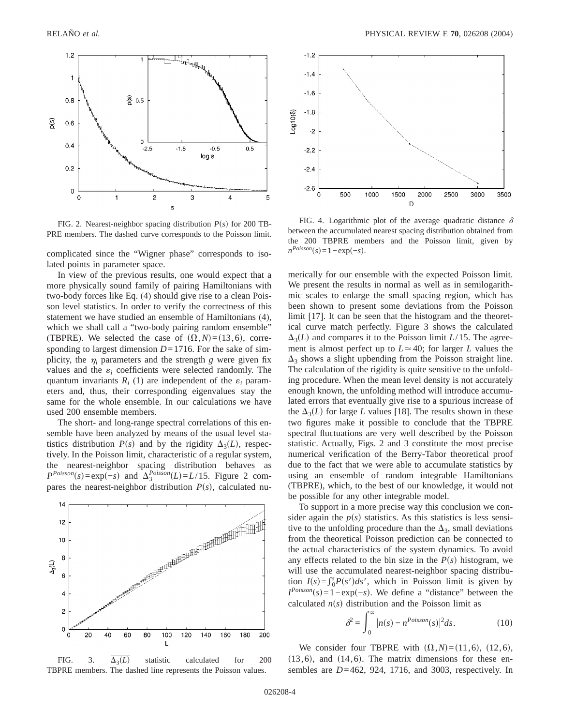

FIG. 2. Nearest-neighbor spacing distribution  $P(s)$  for 200 TB-PRE members. The dashed curve corresponds to the Poisson limit.

complicated since the "Wigner phase" corresponds to isolated points in parameter space.

In view of the previous results, one would expect that a more physically sound family of pairing Hamiltonians with two-body forces like Eq. (4) should give rise to a clean Poisson level statistics. In order to verify the correctness of this statement we have studied an ensemble of Hamiltonians (4), which we shall call a "two-body pairing random ensemble" (TBPRE). We selected the case of  $(\Omega, N) = (13, 6)$ , corresponding to largest dimension  $D=1716$ . For the sake of simplicity, the  $\eta_i$  parameters and the strength *g* were given fix values and the  $\varepsilon_i$  coefficients were selected randomly. The quantum invariants  $R_i$  (1) are independent of the  $\varepsilon_i$  parameters and, thus, their corresponding eigenvalues stay the same for the whole ensemble. In our calculations we have used 200 ensemble members.

The short- and long-range spectral correlations of this ensemble have been analyzed by means of the usual level statistics distribution  $P(s)$  and by the rigidity  $\Delta_3(L)$ , respectively. In the Poisson limit, characteristic of a regular system, the nearest-neighbor spacing distribution behaves as  $P^{Poisson}(s) = \exp(-s)$  and  $\Delta_3^{Poisson}(L) = L/15$ . Figure 2 compares the nearest-neighbor distribution  $P(s)$ , calculated nu-



TBPRE members. The dashed line represents the Poisson values.



FIG. 4. Logarithmic plot of the average quadratic distance  $\delta$ between the accumulated nearest spacing distribution obtained from the 200 TBPRE members and the Poisson limit, given by  $n^{Poisson}(s) = 1 - \exp(-s)$ .

merically for our ensemble with the expected Poisson limit. We present the results in normal as well as in semilogarithmic scales to enlarge the small spacing region, which has been shown to present some deviations from the Poisson limit [17]. It can be seen that the histogram and the theoretical curve match perfectly. Figure 3 shows the calculated  $\Delta_3(L)$  and compares it to the Poisson limit *L*/15. The agreement is almost perfect up to  $L \approx 40$ ; for larger *L* values the  $\Delta_3$  shows a slight upbending from the Poisson straight line. The calculation of the rigidity is quite sensitive to the unfolding procedure. When the mean level density is not accurately enough known, the unfolding method will introduce accumulated errors that eventually give rise to a spurious increase of the  $\Delta_3(L)$  for large *L* values [18]. The results shown in these two figures make it possible to conclude that the TBPRE spectral fluctuations are very well described by the Poisson statistic. Actually, Figs. 2 and 3 constitute the most precise numerical verification of the Berry-Tabor theoretical proof due to the fact that we were able to accumulate statistics by using an ensemble of random integrable Hamiltonians (TBPRE), which, to the best of our knowledge, it would not be possible for any other integrable model.

To support in a more precise way this conclusion we consider again the  $p(s)$  statistics. As this statistics is less sensitive to the unfolding procedure than the  $\Delta_3$ , small deviations from the theoretical Poisson prediction can be connected to the actual characteristics of the system dynamics. To avoid any effects related to the bin size in the  $P(s)$  histogram, we will use the accumulated nearest-neighbor spacing distribution  $I(s) = \int_0^s P(s')ds'$ , which in Poisson limit is given by  $I^{Poisson}(s) = 1 - \exp(-s)$ . We define a "distance" between the

calculated 
$$
n(s)
$$
 distribution and the Poisson limit as  
\n
$$
\delta^2 = \int_0^\infty |n(s) - n^{Poisson}(s)|^2 ds.
$$
\n(10)

We consider four TBPRE with  $(\Omega, N) = (11, 6), (12, 6),$  $(13,6)$ , and  $(14,6)$ . The matrix dimensions for these ensembles are *D*=462, 924, 1716, and 3003, respectively. In